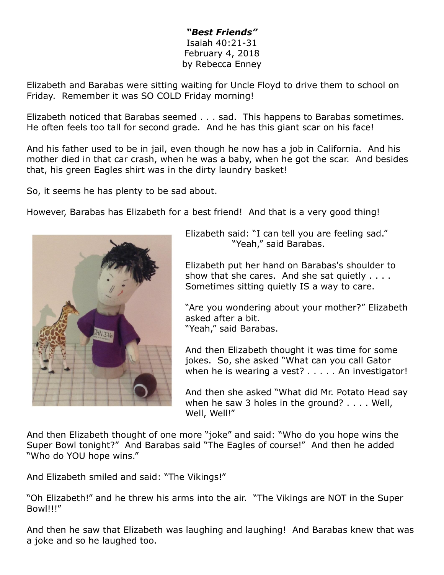## *"Best Friends"* Isaiah 40:21-31 February 4, 2018 by Rebecca Enney

Elizabeth and Barabas were sitting waiting for Uncle Floyd to drive them to school on Friday. Remember it was SO COLD Friday morning!

Elizabeth noticed that Barabas seemed . . . sad. This happens to Barabas sometimes. He often feels too tall for second grade. And he has this giant scar on his face!

And his father used to be in jail, even though he now has a job in California. And his mother died in that car crash, when he was a baby, when he got the scar. And besides that, his green Eagles shirt was in the dirty laundry basket!

So, it seems he has plenty to be sad about.

However, Barabas has Elizabeth for a best friend! And that is a very good thing!



Elizabeth said: "I can tell you are feeling sad." "Yeah," said Barabas.

Elizabeth put her hand on Barabas's shoulder to show that she cares. And she sat quietly . . . . Sometimes sitting quietly IS a way to care.

"Are you wondering about your mother?" Elizabeth asked after a bit. "Yeah," said Barabas.

And then Elizabeth thought it was time for some jokes. So, she asked "What can you call Gator when he is wearing a vest? . . . . . An investigator!

And then she asked "What did Mr. Potato Head say when he saw 3 holes in the ground? . . . . Well, Well, Well!"

And then Elizabeth thought of one more "joke" and said: "Who do you hope wins the Super Bowl tonight?" And Barabas said "The Eagles of course!" And then he added "Who do YOU hope wins."

And Elizabeth smiled and said: "The Vikings!"

"Oh Elizabeth!" and he threw his arms into the air. "The Vikings are NOT in the Super Bowl!!!"

And then he saw that Elizabeth was laughing and laughing! And Barabas knew that was a joke and so he laughed too.